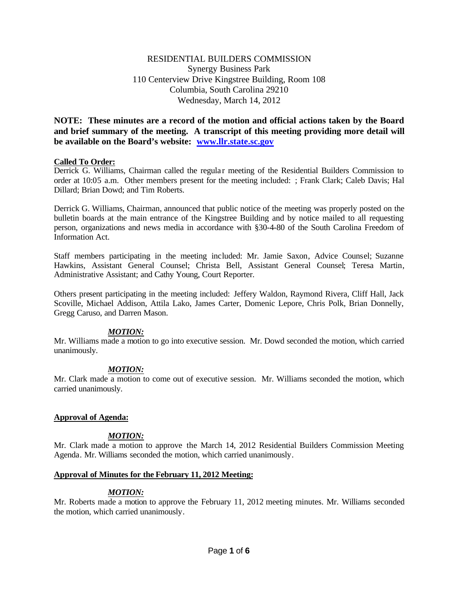# RESIDENTIAL BUILDERS COMMISSION Synergy Business Park 110 Centerview Drive Kingstree Building, Room 108 Columbia, South Carolina 29210 Wednesday, March 14, 2012

**NOTE: These minutes are a record of the motion and official actions taken by the Board and brief summary of the meeting. A transcript of this meeting providing more detail will be available on the Board's website: www.llr.state.sc.gov**

## **Called To Order:**

Derrick G. Williams, Chairman called the regular meeting of the Residential Builders Commission to order at 10:05 a.m. Other members present for the meeting included: ; Frank Clark; Caleb Davis; Hal Dillard; Brian Dowd; and Tim Roberts.

Derrick G. Williams, Chairman, announced that public notice of the meeting was properly posted on the bulletin boards at the main entrance of the Kingstree Building and by notice mailed to all requesting person, organizations and news media in accordance with §30-4-80 of the South Carolina Freedom of Information Act.

Staff members participating in the meeting included: Mr. Jamie Saxon, Advice Counsel; Suzanne Hawkins, Assistant General Counsel; Christa Bell, Assistant General Counsel; Teresa Martin, Administrative Assistant; and Cathy Young, Court Reporter.

Others present participating in the meeting included: Jeffery Waldon, Raymond Rivera, Cliff Hall, Jack Scoville, Michael Addison, Attila Lako, James Carter, Domenic Lepore, Chris Polk, Brian Donnelly, Gregg Caruso, and Darren Mason.

## *MOTION:*

Mr. Williams made a motion to go into executive session. Mr. Dowd seconded the motion, which carried unanimously.

## *MOTION:*

Mr. Clark made a motion to come out of executive session. Mr. Williams seconded the motion, which carried unanimously.

## **Approval of Agenda:**

## *MOTION:*

Mr. Clark made a motion to approve the March 14, 2012 Residential Builders Commission Meeting Agenda. Mr. Williams seconded the motion, which carried unanimously.

## **Approval of Minutes for the February 11, 2012 Meeting:**

## *MOTION:*

Mr. Roberts made a motion to approve the February 11, 2012 meeting minutes. Mr. Williams seconded the motion, which carried unanimously.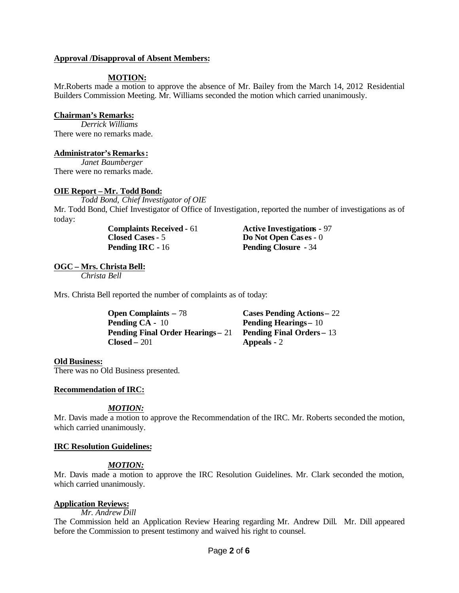## **Approval /Disapproval of Absent Members:**

## **MOTION:**

Mr.Roberts made a motion to approve the absence of Mr. Bailey from the March 14, 2012 Residential Builders Commission Meeting. Mr. Williams seconded the motion which carried unanimously.

#### **Chairman's Remarks:**

*Derrick Williams* There were no remarks made.

#### **Administrator's Remarks:**

*Janet Baumberger* There were no remarks made.

## **OIE Report – Mr. Todd Bond:**

*Todd Bond, Chief Investigator of OIE* Mr. Todd Bond, Chief Investigator of Office of Investigation, reported the number of investigations as of today:

> **Closed Cases-** 5 **Do Not Open Cas es -** 0 **Pending IRC -** 16 **Pending Closure -** 34

**Complaints Received -** 61 **Active Investigations -** 97

# **OGC – Mrs. Christa Bell:**

*Christa Bell*

Mrs. Christa Bell reported the number of complaints as of today:

| <b>Open Complaints – 78</b>              | <b>Cases Pending Actions – 22</b> |
|------------------------------------------|-----------------------------------|
| <b>Pending CA - 10</b>                   | <b>Pending Hearings</b> – 10      |
| <b>Pending Final Order Hearings - 21</b> | <b>Pending Final Orders – 13</b>  |
| $Closed - 201$                           | <b>Appeals</b> - 2                |

#### **Old Business:**

There was no Old Business presented.

## **Recommendation of IRC:**

## *MOTION:*

Mr. Davis made a motion to approve the Recommendation of the IRC. Mr. Roberts seconded the motion, which carried unanimously.

#### **IRC Resolution Guidelines:**

## *MOTION:*

Mr. Davis made a motion to approve the IRC Resolution Guidelines. Mr. Clark seconded the motion, which carried unanimously.

## **Application Reviews:**

*Mr. Andrew Dill*

The Commission held an Application Review Hearing regarding Mr. Andrew Dill. Mr. Dill appeared before the Commission to present testimony and waived his right to counsel.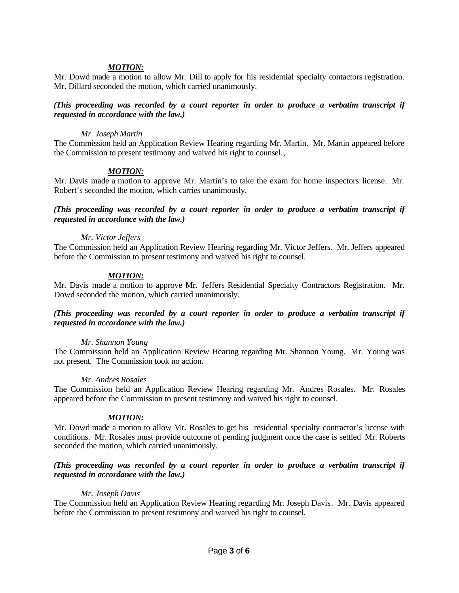## *MOTION:*

Mr. Dowd made a motion to allow Mr. Dill to apply for his residential specialty contactors registration. Mr. Dillard seconded the motion, which carried unanimously.

## *(This proceeding was recorded by a court reporter in order to produce a verbatim transcript if requested in accordance with the law.)*

## *Mr. Joseph Martin*

The Commission held an Application Review Hearing regarding Mr. Martin. Mr. Martin appeared before the Commission to present testimony and waived his right to counsel.,

## *MOTION:*

Mr. Davis made a motion to approve Mr. Martin's to take the exam for home inspectors license. Mr. Robert's seconded the motion, which carries unanimously.

## *(This proceeding was recorded by a court reporter in order to produce a verbatim transcript if requested in accordance with the law.)*

## *Mr. Victor Jeffers*

The Commission held an Application Review Hearing regarding Mr. Victor Jeffers. Mr. Jeffers appeared before the Commission to present testimony and waived his right to counsel.

## *MOTION:*

Mr. Davis made a motion to approve Mr. Jeffers Residential Specialty Contractors Registration. Mr. Dowd seconded the motion, which carried unanimously.

## *(This proceeding was recorded by a court reporter in order to produce a verbatim transcript if requested in accordance with the law.)*

## *Mr. Shannon Young*

The Commission held an Application Review Hearing regarding Mr. Shannon Young. Mr. Young was not present. The Commission took no action.

## *Mr. Andres Rosales*

The Commission held an Application Review Hearing regarding Mr. Andres Rosales. Mr. Rosales appeared before the Commission to present testimony and waived his right to counsel.

## *MOTION:*

Mr. Dowd made a motion to allow Mr. Rosales to get his residential specialty contractor's license with conditions. Mr. Rosales must provide outcome of pending judgment once the case is settled Mr. Roberts seconded the motion, which carried unanimously.

## *(This proceeding was recorded by a court reporter in order to produce a verbatim transcript if requested in accordance with the law.)*

## *Mr. Joseph Davis*

The Commission held an Application Review Hearing regarding Mr. Joseph Davis. Mr. Davis appeared before the Commission to present testimony and waived his right to counsel.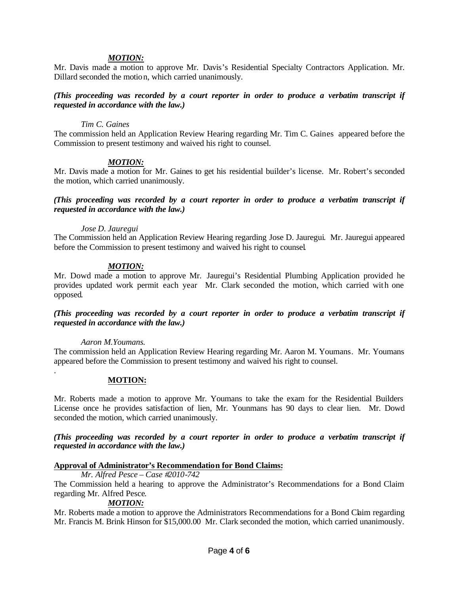## *MOTION:*

Mr. Davis made a motion to approve Mr. Davis's Residential Specialty Contractors Application. Mr. Dillard seconded the motion, which carried unanimously.

## *(This proceeding was recorded by a court reporter in order to produce a verbatim transcript if requested in accordance with the law.)*

## *Tim C. Gaines*

The commission held an Application Review Hearing regarding Mr. Tim C. Gaines appeared before the Commission to present testimony and waived his right to counsel.

#### *MOTION:*

Mr. Davis made a motion for Mr. Gaines to get his residential builder's license. Mr. Robert's seconded the motion, which carried unanimously.

*(This proceeding was recorded by a court reporter in order to produce a verbatim transcript if requested in accordance with the law.)*

#### *Jose D. Jauregui*

The Commission held an Application Review Hearing regarding Jose D. Jauregui. Mr. Jauregui appeared before the Commission to present testimony and waived his right to counsel.

## *MOTION:*

Mr. Dowd made a motion to approve Mr. Jauregui's Residential Plumbing Application provided he provides updated work permit each year Mr. Clark seconded the motion, which carried with one opposed.

*(This proceeding was recorded by a court reporter in order to produce a verbatim transcript if requested in accordance with the law.)*

#### *Aaron M.Youmans.*

.

The commission held an Application Review Hearing regarding Mr. Aaron M. Youmans. Mr. Youmans appeared before the Commission to present testimony and waived his right to counsel.

#### **MOTION:**

Mr. Roberts made a motion to approve Mr. Youmans to take the exam for the Residential Builders License once he provides satisfaction of lien, Mr. Younmans has 90 days to clear lien. Mr. Dowd seconded the motion, which carried unanimously.

*(This proceeding was recorded by a court reporter in order to produce a verbatim transcript if requested in accordance with the law.)*

## **Approval of Administrator's Recommendation for Bond Claims:**

*Mr. Alfred Pesce – Case #2010-742*

The Commission held a hearing to approve the Administrator's Recommendations for a Bond Claim regarding Mr. Alfred Pesce.

## *MOTION:*

Mr. Roberts made a motion to approve the Administrators Recommendations for a Bond Claim regarding Mr. Francis M. Brink Hinson for \$15,000.00 Mr. Clark seconded the motion, which carried unanimously.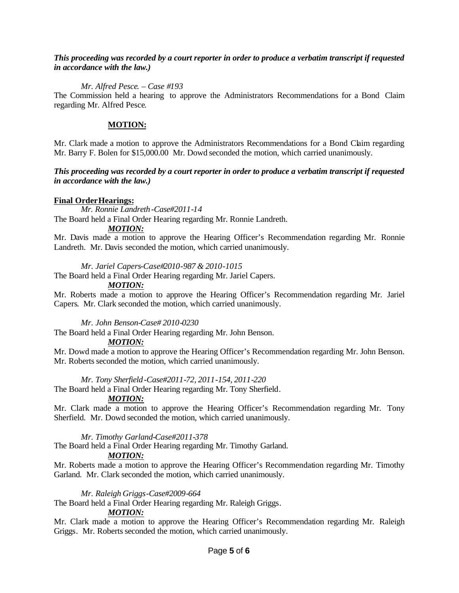## *This proceeding was recorded by a court reporter in order to produce a verbatim transcript if requested in accordance with the law.)*

## *Mr. Alfred Pesce. – Case #193*

The Commission held a hearing to approve the Administrators Recommendations for a Bond Claim regarding Mr. Alfred Pesce.

## **MOTION:**

Mr. Clark made a motion to approve the Administrators Recommendations for a Bond Claim regarding Mr. Barry F. Bolen for \$15,000.00 Mr. Dowd seconded the motion, which carried unanimously.

## *This proceeding was recorded by a court reporter in order to produce a verbatim transcript if requested in accordance with the law.)*

## **Final OrderHearings:**

*Mr. Ronnie Landreth-Case#2011-14*

The Board held a Final Order Hearing regarding Mr. Ronnie Landreth.

## *MOTION:*

Mr. Davis made a motion to approve the Hearing Officer's Recommendation regarding Mr. Ronnie Landreth. Mr. Davis seconded the motion, which carried unanimously.

## *Mr. Jariel Capers-Case#2010-987 & 2010-1015*

The Board held a Final Order Hearing regarding Mr. Jariel Capers.

## *MOTION:*

Mr. Roberts made a motion to approve the Hearing Officer's Recommendation regarding Mr. Jariel Capers. Mr. Clark seconded the motion, which carried unanimously.

*Mr. John Benson-Case# 2010-0230*

The Board held a Final Order Hearing regarding Mr. John Benson.

## *MOTION:*

Mr. Dowd made a motion to approve the Hearing Officer's Recommendation regarding Mr. John Benson. Mr. Roberts seconded the motion, which carried unanimously.

## *Mr. Tony Sherfield-Case#2011-72, 2011-154, 2011-220*

The Board held a Final Order Hearing regarding Mr. Tony Sherfield.

## *MOTION:*

Mr. Clark made a motion to approve the Hearing Officer's Recommendation regarding Mr. Tony Sherfield. Mr. Dowd seconded the motion, which carried unanimously.

## *Mr. Timothy Garland-Case#2011-378*

The Board held a Final Order Hearing regarding Mr. Timothy Garland.

## *MOTION:*

Mr. Roberts made a motion to approve the Hearing Officer's Recommendation regarding Mr. Timothy Garland. Mr. Clark seconded the motion, which carried unanimously.

## *Mr. Raleigh Griggs-Case#2009-664*

The Board held a Final Order Hearing regarding Mr. Raleigh Griggs.

## *MOTION:*

Mr. Clark made a motion to approve the Hearing Officer's Recommendation regarding Mr. Raleigh Griggs. Mr. Roberts seconded the motion, which carried unanimously.